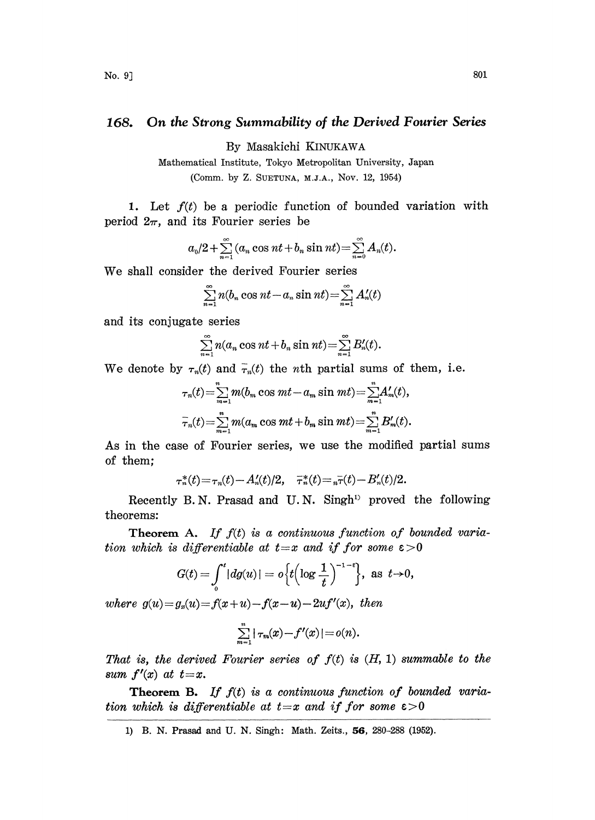## 168. On the Strong Summability of the Derived Fourier Series

By Masakichi KINUKAWA

Mathematical Institute, Tokyo Metropolitan University, Japan (Comm. by Z. SUETUNA, M.J.A., Nov. 12, 1954)

1. Let  $f(t)$  be a periodic function of bounded variation with period  $2\pi$ , and its Fourier series be

$$
a_0/2+\sum_{n=1}^{\infty}(a_n\cos nt+b_n\sin nt)=\sum_{n=0}^{\infty}A_n(t).
$$

We shall consider the derived Fourier series

$$
\sum_{n=1}^{\infty} n(b_n \cos nt - a_n \sin nt) = \sum_{n=1}^{\infty} A'_n(t)
$$

and its conjugate series

$$
\sum_{n=1}^{\infty} n(a_n \cos nt + b_n \sin nt) = \sum_{n=1}^{\infty} B'_n(t).
$$

We denote by  $\tau_n(t)$  and  $\bar{\tau}_n(t)$  the *n*th partial sums of them, i.e.

$$
\tau_n(t) = \sum_{m=1}^n m(b_m \cos mt - a_m \sin mt) = \sum_{m=1}^n A'_m(t),
$$
  

$$
\bar{\tau}_n(t) = \sum_{m=1}^n m(a_m \cos mt + b_m \sin mt) = \sum_{m=1}^n B'_m(t).
$$

As in the case of Fourier series, we use the modified partial sums of them;

$$
\tau_n^*(t) = \tau_n(t) - A'_n(t)/2, \quad \bar{\tau}_n^*(t) = \bar{\tau}_n(\bar{t}) - B'_n(t)/2.
$$

Recently B.N. Prasad and U.N. Singh<sup>13</sup> proved the following theorems:

Theorem A. If  $f(t)$  is a continuous function of bounded variation which is differentiable at  $t=x$  and if for some  $\varepsilon >0$ 

$$
G(t) = \int_0^t |dg(u)| = o\Big\{t\Big(\log \frac{1}{t}\Big)^{-1-\epsilon}\Big\}, \text{ as } t \to 0,
$$

where  $g(u) = g_n(u) = f(x+u) - f(x-u) - 2uf'(x)$ , then

$$
\sum_{m=1}^n |\tau_m(x) - f'(x)| = o(n).
$$

That is, the derived Fourier series of  $f(t)$  is  $(H, 1)$  summable to the sum  $f'(x)$  at  $t=x$ .

**Theorem B.** If  $f(t)$  is a continuous function of bounded variation which is differentiable at  $t=x$  and if for some  $\varepsilon > 0$ 

<sup>1)</sup> B. N. Prasad and U. N. Singh: Math. Zeits., 56, 280-288 (1952).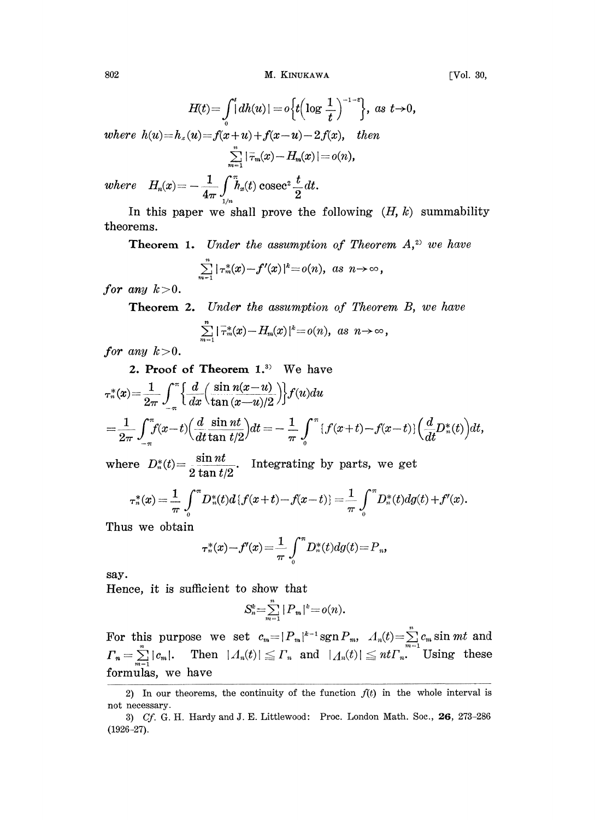802 **M. KINUKAWA** [Vol. 30,

 $H(t) = \int_0^t [dh(u)] = o\left\{t\left(\log \frac{1}{t}\right)^{-1-\epsilon}\right\}, \text{ as } t \to 0,$ where  $h(u) = h_x(u) = f(x + u) + f(x - u) - 2f(x)$ , then  $\sum_{m=1}$   $|\bar{\tau}_m(x)-H_m(x)|=o(n)$ ,  $where \quad H_n(x) = -\frac{1}{4\pi}\int\limits_{1/n}^\infty h_x(t) \text{ cosec}^2\frac{t}{2}dt.$ 

In this paper we shall prove the following  $(H, k)$  summability theorems.

**Theorem 1.** Under the assumption of Theorem  $A$ ,<sup>2)</sup> we have

$$
\sum_{m=1}^n |\tau_m^*(x) - f'(x)|^k = o(n), \text{ as } n \to \infty,
$$

for any  $k > 0$ .

**Theorem 2.** Under the assumption of Theorem B, we have

$$
\sum_{m=1}^n |\bar{\tau}_m^*(x) - H_m(x)|^k = o(n), \text{ as } n \to \infty,
$$

for any  $k>0$ .

2. Proof of Theorem 1.<sup>3</sup> We have  
\n
$$
\tau_n^*(x) = \frac{1}{2\pi} \int_{-\pi}^{\pi} \left\{ \frac{d}{dx} \left( \frac{\sin n(x-u)}{\tan (x-u)/2} \right) \right\} f(u) du
$$
\n
$$
= \frac{1}{2\pi} \int_{-\pi}^{\pi} f(x-t) \left( \frac{d}{dt} \frac{\sin nt}{\tan t/2} \right) dt = -\frac{1}{\pi} \int_{0}^{\pi} \left\{ f(x+t) - f(x-t) \right\} \left( \frac{d}{dt} D_n^*(t) \right) dt,
$$

where  $D_n^*(t) = \frac{\sin nt}{\cos nt}$ . Integrating by parts, we get  $2 \tan t / 2$ 

$$
\tau^*_n(x) = \frac{1}{\pi} \int_0^{\pi} D_n^*(t) d\{f(x+t) - f(x-t)\} = \frac{1}{\pi} \int_0^{\pi} D_n^*(t) d g(t) + f'(x).
$$

Thus we obtain

$$
\tau_n^*(x) - f'(x) = \frac{1}{\pi} \int_0^\pi D_n^*(t) dg(t) = P_n,
$$

say.

Hence, it is sufficient to show that

$$
S_n^k = \sum_{m=1}^n |P_m|^k = o(n).
$$

 $S_n^* = \sum_{m=1}^{\infty} |P_m|^* = o(n).$ <br>For this purpose we set  $c_m = |P_m|^{k-1} \operatorname{sgn} P_m$ ,  $\Lambda_n(t) = \sum_{m=1}^n c_m \sin mt$  and  $\Gamma_n = \sum_{n=1}^{\infty} |c_m|$ . Then  $|\Lambda_n(t)| \leq \Gamma_n$  and  $|\Lambda_n(t)| \leq nt \Gamma_n$ . Using these  $\varGamma_n=\sum^n|c_m|. \quad \text{ Then } \,\, | \varLambda_n(t)|\leqq \varGamma_n \,\, \text{ and } \,\, \, | \varLambda_n(t)|\leqq nt \varGamma_n. \quad \text{Using } \,\, \text{these}$ formulas, we have

<sup>2)</sup> In our theorems, the continuity of the function  $f(t)$  in the whole interval is not necessary.

<sup>3)</sup>  $Cf. G. H. Hardy and J. E. Littlewood: Proc. London Math. Soc., **26**, 273-286$ (1926-27).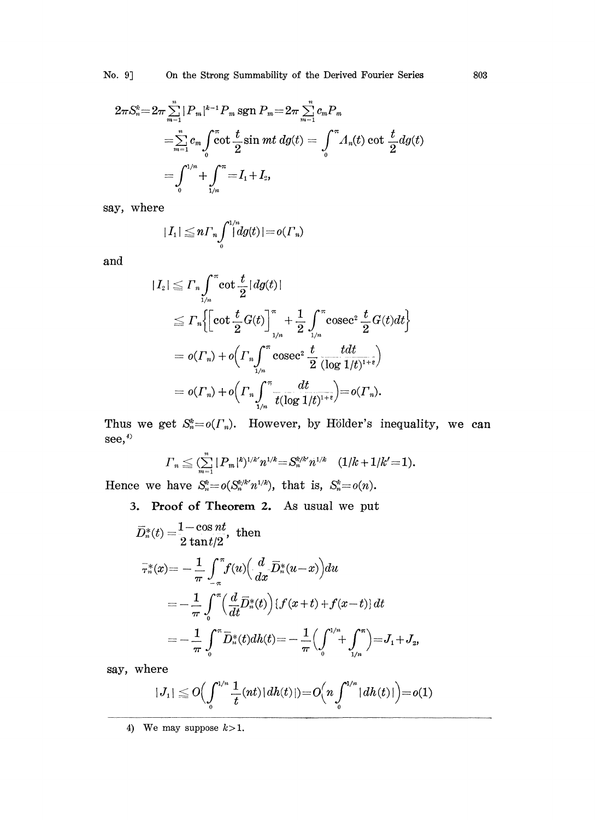$$
2\pi S_n^* = 2\pi \sum_{m=1}^n |P_m|^{k-1} P_m \operatorname{sgn} P_m = 2\pi \sum_{m=1}^n c_m P_m
$$
  
= 
$$
\sum_{m=1}^n c_m \int_0^\pi \cot \frac{t}{2} \sin mt \, d\mathfrak{g}(t) = \int_0^\pi A_n(t) \cot \frac{t}{2} d\mathfrak{g}(t)
$$
  
= 
$$
\int_0^{1/n} + \int_{\frac{1}{n}}^\pi = I_1 + I_2,
$$

say, where

$$
|I_1|\leq n\Gamma_n\int_0^{1/n}d g(t)|=o(\Gamma_n)
$$

and

$$
\begin{split} |I_{2}| &\leq \varGamma_{n}\!\int_{1/n}^{\pi}\!\cot\frac{t}{2}\left|dg(t)\right|\cr &\leq \varGamma_{n}\!\left[\!\left[\cot\frac{t}{2}G(t)\right]_{1/n}^{\pi}+\frac{1}{2}\int_{1/n}^{\pi}\!\csc^{2}\frac{t}{2}G(t)dt\!\right]\cr &=o(\varGamma_{n})+o\!\left(\varGamma_{n}\!\int_{1/n}^{\pi}\!\csc^{2}\frac{t}{2}\frac{tdt}{(\log\frac{1}{t})^{1+\varepsilon}}\!\right)\cr &=o(\varGamma_{n})+o\!\left(\varGamma_{n}\!\int_{1/n}^{\pi}\!\frac{dt}{t(\log\frac{1}{t})^{1+\varepsilon}}\right)=o(\varGamma_{n}).\end{split}
$$

Thus we get  $S_n^k = o(\Gamma_n)$ . However, by Hölder's inequality, we can  $see, <sup>4</sup>$ 

$$
\Gamma_n \leq \sum_{m=1}^n |P_m|^k^{1/k} n^{1/k} = S_n^{k/k} n^{1/k} \quad (1/k+1/k'=1).
$$

Hence we have  $S_n^* = o(S_n^{k/k'} n^{1/k})$ , that is,  $S_n^* = o(n)$ .

3. Proof of Theorem 2. As usual we put

$$
\overline{D}_{n}^{*}(t) = \frac{1 - \cos nt}{2 \tan t/2}, \text{ then}
$$
\n
$$
\overline{r}_{n}^{*}(x) = -\frac{1}{\pi} \int_{-\pi}^{\pi} f(u) \left( \frac{d}{dx} \overline{D}_{n}^{*}(u-x) \right) du
$$
\n
$$
= -\frac{1}{\pi} \int_{0}^{\pi} \left( \frac{d}{dt} \overline{D}_{n}^{*}(t) \right) \left\{ f(x+t) + f(x-t) \right\} dt
$$
\n
$$
= -\frac{1}{\pi} \int_{0}^{\pi} \overline{D}_{n}^{*}(t) dh(t) = -\frac{1}{\pi} \left( \int_{0}^{1/n} + \int_{1/n}^{\pi} \right) = J_{1} + J_{2},
$$

say, where

$$
|J_1|\leqq O\Bigl(\int_{0}^{1/n}\frac{1}{t}(nt) |dh(t)|)=O\Bigl(n\int_{0}^{1/n}|dh(t)|\Bigl)=o(1)
$$

4) We may suppose  $k>1$ .